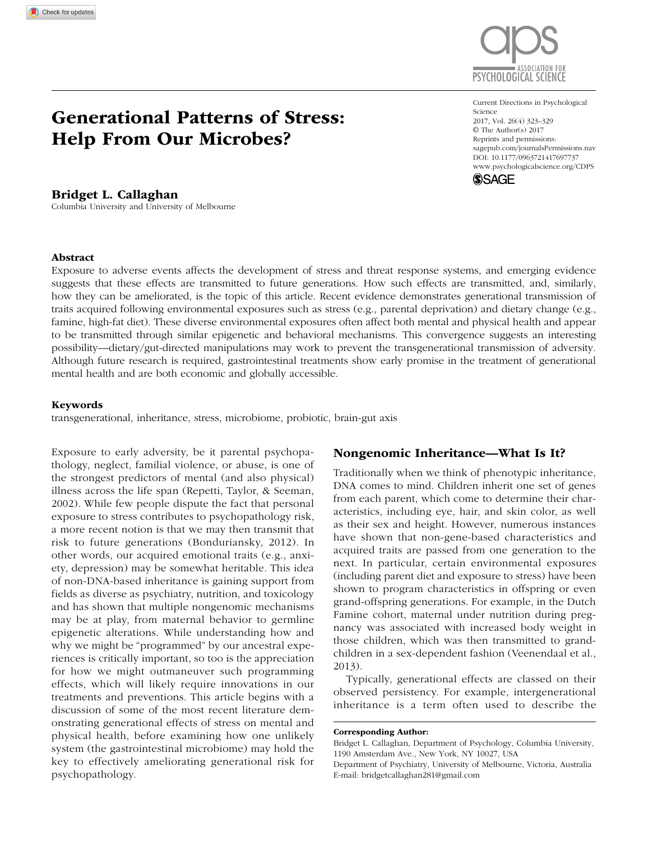# Generational Patterns of Stress: Help From Our Microbes?

# Bridget L. Callaghan

Columbia University and University of Melbourne

https://doi.org/10.1177/0963721417697737 DOI: 10.1177/0963721417697737 Current Directions in Psychological Science 2017, Vol. 26(4) 323–329 © The Author(s) 2017 Reprints and permissions: [sagepub.com/journalsPermissions.nav](http://sagepub.com/journalsPermissions.nav) [www.psychologicalscience.org/CDPS](http://www.psychologicalscience.org/cdps)



#### Abstract

Exposure to adverse events affects the development of stress and threat response systems, and emerging evidence suggests that these effects are transmitted to future generations. How such effects are transmitted, and, similarly, how they can be ameliorated, is the topic of this article. Recent evidence demonstrates generational transmission of traits acquired following environmental exposures such as stress (e.g., parental deprivation) and dietary change (e.g., famine, high-fat diet). These diverse environmental exposures often affect both mental and physical health and appear to be transmitted through similar epigenetic and behavioral mechanisms. This convergence suggests an interesting possibility—dietary/gut-directed manipulations may work to prevent the transgenerational transmission of adversity. Although future research is required, gastrointestinal treatments show early promise in the treatment of generational mental health and are both economic and globally accessible.

#### Keywords

transgenerational, inheritance, stress, microbiome, probiotic, brain-gut axis

Exposure to early adversity, be it parental psychopathology, neglect, familial violence, or abuse, is one of the strongest predictors of mental (and also physical) illness across the life span (Repetti, Taylor, & Seeman, 2002). While few people dispute the fact that personal exposure to stress contributes to psychopathology risk, a more recent notion is that we may then transmit that risk to future generations (Bonduriansky, 2012). In other words, our acquired emotional traits (e.g., anxiety, depression) may be somewhat heritable. This idea of non-DNA-based inheritance is gaining support from fields as diverse as psychiatry, nutrition, and toxicology and has shown that multiple nongenomic mechanisms may be at play, from maternal behavior to germline epigenetic alterations. While understanding how and why we might be "programmed" by our ancestral experiences is critically important, so too is the appreciation for how we might outmaneuver such programming effects, which will likely require innovations in our treatments and preventions. This article begins with a discussion of some of the most recent literature demonstrating generational effects of stress on mental and physical health, before examining how one unlikely system (the gastrointestinal microbiome) may hold the key to effectively ameliorating generational risk for psychopathology.

## Nongenomic Inheritance—What Is It?

Traditionally when we think of phenotypic inheritance, DNA comes to mind. Children inherit one set of genes from each parent, which come to determine their characteristics, including eye, hair, and skin color, as well as their sex and height. However, numerous instances have shown that non-gene-based characteristics and acquired traits are passed from one generation to the next. In particular, certain environmental exposures (including parent diet and exposure to stress) have been shown to program characteristics in offspring or even grand-offspring generations. For example, in the Dutch Famine cohort, maternal under nutrition during pregnancy was associated with increased body weight in those children, which was then transmitted to grandchildren in a sex-dependent fashion (Veenendaal et al., 2013).

Typically, generational effects are classed on their observed persistency. For example, intergenerational inheritance is a term often used to describe the

Corresponding Author:

Bridget L. Callaghan, Department of Psychology, Columbia University, 1190 Amsterdam Ave., New York, NY 10027, USA

Department of Psychiatry, University of Melbourne, Victoria, Australia E-mail: [bridgetcallaghan281@gmail.com](mailto:bridgetcallaghan281@gmail.com)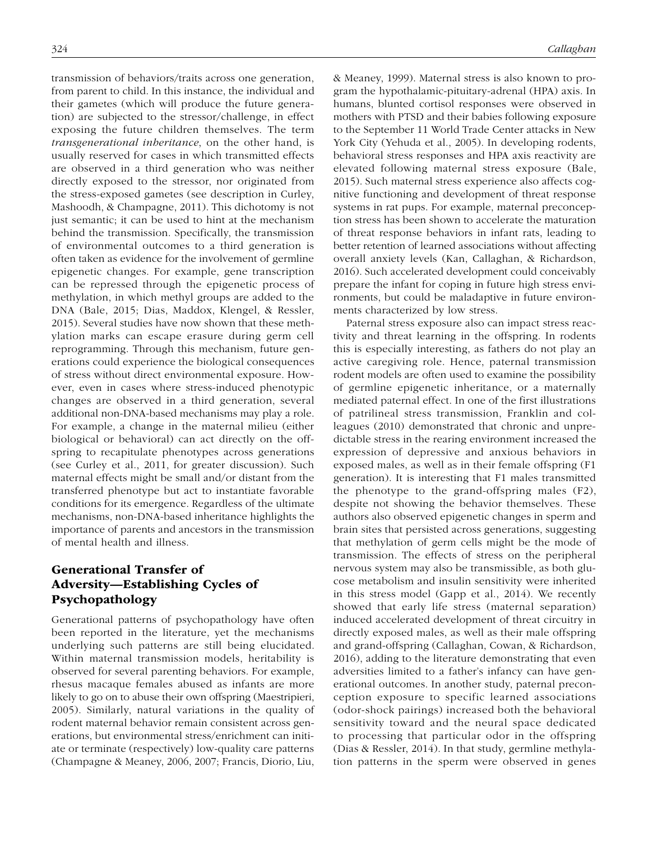transmission of behaviors/traits across one generation, from parent to child. In this instance, the individual and their gametes (which will produce the future generation) are subjected to the stressor/challenge, in effect exposing the future children themselves. The term *transgenerational inheritance*, on the other hand, is usually reserved for cases in which transmitted effects are observed in a third generation who was neither directly exposed to the stressor, nor originated from the stress-exposed gametes (see description in Curley, Mashoodh, & Champagne, 2011). This dichotomy is not just semantic; it can be used to hint at the mechanism behind the transmission. Specifically, the transmission of environmental outcomes to a third generation is often taken as evidence for the involvement of germline epigenetic changes. For example, gene transcription can be repressed through the epigenetic process of methylation, in which methyl groups are added to the DNA (Bale, 2015; Dias, Maddox, Klengel, & Ressler, 2015). Several studies have now shown that these methylation marks can escape erasure during germ cell reprogramming. Through this mechanism, future generations could experience the biological consequences of stress without direct environmental exposure. However, even in cases where stress-induced phenotypic changes are observed in a third generation, several additional non-DNA-based mechanisms may play a role. For example, a change in the maternal milieu (either biological or behavioral) can act directly on the offspring to recapitulate phenotypes across generations (see Curley et al., 2011, for greater discussion). Such maternal effects might be small and/or distant from the transferred phenotype but act to instantiate favorable conditions for its emergence. Regardless of the ultimate mechanisms, non-DNA-based inheritance highlights the importance of parents and ancestors in the transmission of mental health and illness.

# Generational Transfer of Adversity—Establishing Cycles of Psychopathology

Generational patterns of psychopathology have often been reported in the literature, yet the mechanisms underlying such patterns are still being elucidated. Within maternal transmission models, heritability is observed for several parenting behaviors. For example, rhesus macaque females abused as infants are more likely to go on to abuse their own offspring (Maestripieri, 2005). Similarly, natural variations in the quality of rodent maternal behavior remain consistent across generations, but environmental stress/enrichment can initiate or terminate (respectively) low-quality care patterns (Champagne & Meaney, 2006, 2007; Francis, Diorio, Liu, & Meaney, 1999). Maternal stress is also known to program the hypothalamic-pituitary-adrenal (HPA) axis. In humans, blunted cortisol responses were observed in mothers with PTSD and their babies following exposure to the September 11 World Trade Center attacks in New York City (Yehuda et al., 2005). In developing rodents, behavioral stress responses and HPA axis reactivity are elevated following maternal stress exposure (Bale, 2015). Such maternal stress experience also affects cognitive functioning and development of threat response systems in rat pups. For example, maternal preconception stress has been shown to accelerate the maturation of threat response behaviors in infant rats, leading to better retention of learned associations without affecting overall anxiety levels (Kan, Callaghan, & Richardson, 2016). Such accelerated development could conceivably prepare the infant for coping in future high stress environments, but could be maladaptive in future environments characterized by low stress.

Paternal stress exposure also can impact stress reactivity and threat learning in the offspring. In rodents this is especially interesting, as fathers do not play an active caregiving role. Hence, paternal transmission rodent models are often used to examine the possibility of germline epigenetic inheritance, or a maternally mediated paternal effect. In one of the first illustrations of patrilineal stress transmission, Franklin and colleagues (2010) demonstrated that chronic and unpredictable stress in the rearing environment increased the expression of depressive and anxious behaviors in exposed males, as well as in their female offspring (F1 generation). It is interesting that F1 males transmitted the phenotype to the grand-offspring males (F2), despite not showing the behavior themselves. These authors also observed epigenetic changes in sperm and brain sites that persisted across generations, suggesting that methylation of germ cells might be the mode of transmission. The effects of stress on the peripheral nervous system may also be transmissible, as both glucose metabolism and insulin sensitivity were inherited in this stress model (Gapp et al., 2014). We recently showed that early life stress (maternal separation) induced accelerated development of threat circuitry in directly exposed males, as well as their male offspring and grand-offspring (Callaghan, Cowan, & Richardson, 2016), adding to the literature demonstrating that even adversities limited to a father's infancy can have generational outcomes. In another study, paternal preconception exposure to specific learned associations (odor-shock pairings) increased both the behavioral sensitivity toward and the neural space dedicated to processing that particular odor in the offspring (Dias & Ressler, 2014). In that study, germline methylation patterns in the sperm were observed in genes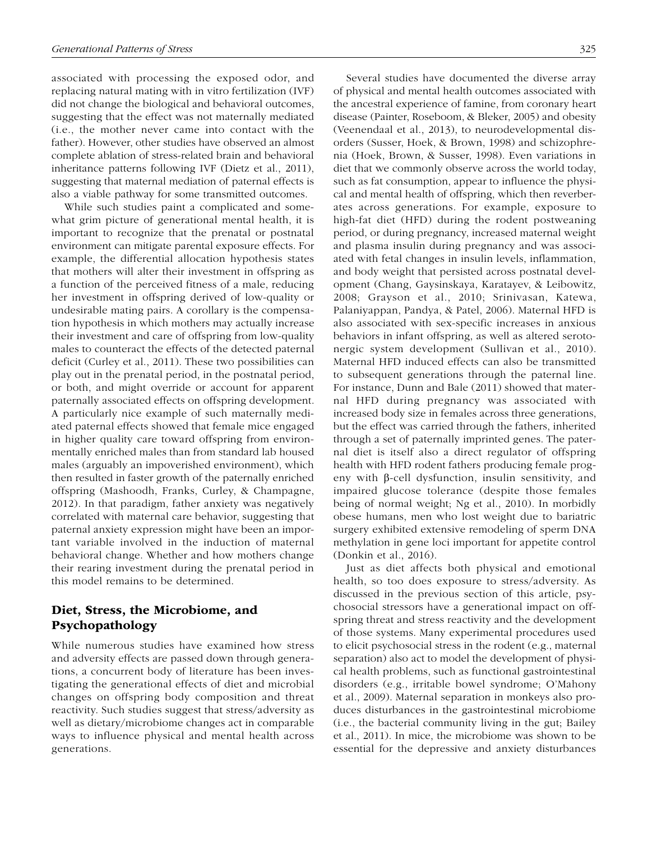associated with processing the exposed odor, and replacing natural mating with in vitro fertilization (IVF) did not change the biological and behavioral outcomes, suggesting that the effect was not maternally mediated (i.e., the mother never came into contact with the father). However, other studies have observed an almost complete ablation of stress-related brain and behavioral inheritance patterns following IVF (Dietz et al., 2011), suggesting that maternal mediation of paternal effects is also a viable pathway for some transmitted outcomes.

While such studies paint a complicated and somewhat grim picture of generational mental health, it is important to recognize that the prenatal or postnatal environment can mitigate parental exposure effects. For example, the differential allocation hypothesis states that mothers will alter their investment in offspring as a function of the perceived fitness of a male, reducing her investment in offspring derived of low-quality or undesirable mating pairs. A corollary is the compensation hypothesis in which mothers may actually increase their investment and care of offspring from low-quality males to counteract the effects of the detected paternal deficit (Curley et al., 2011). These two possibilities can play out in the prenatal period, in the postnatal period, or both, and might override or account for apparent paternally associated effects on offspring development. A particularly nice example of such maternally mediated paternal effects showed that female mice engaged in higher quality care toward offspring from environmentally enriched males than from standard lab housed males (arguably an impoverished environment), which then resulted in faster growth of the paternally enriched offspring (Mashoodh, Franks, Curley, & Champagne, 2012). In that paradigm, father anxiety was negatively correlated with maternal care behavior, suggesting that paternal anxiety expression might have been an important variable involved in the induction of maternal behavioral change. Whether and how mothers change their rearing investment during the prenatal period in this model remains to be determined.

# Diet, Stress, the Microbiome, and Psychopathology

While numerous studies have examined how stress and adversity effects are passed down through generations, a concurrent body of literature has been investigating the generational effects of diet and microbial changes on offspring body composition and threat reactivity. Such studies suggest that stress/adversity as well as dietary/microbiome changes act in comparable ways to influence physical and mental health across generations.

Several studies have documented the diverse array of physical and mental health outcomes associated with the ancestral experience of famine, from coronary heart disease (Painter, Roseboom, & Bleker, 2005) and obesity (Veenendaal et al., 2013), to neurodevelopmental disorders (Susser, Hoek, & Brown, 1998) and schizophrenia (Hoek, Brown, & Susser, 1998). Even variations in diet that we commonly observe across the world today, such as fat consumption, appear to influence the physical and mental health of offspring, which then reverberates across generations. For example, exposure to high-fat diet (HFD) during the rodent postweaning period, or during pregnancy, increased maternal weight and plasma insulin during pregnancy and was associated with fetal changes in insulin levels, inflammation, and body weight that persisted across postnatal development (Chang, Gaysinskaya, Karatayev, & Leibowitz, 2008; Grayson et al., 2010; Srinivasan, Katewa, Palaniyappan, Pandya, & Patel, 2006). Maternal HFD is also associated with sex-specific increases in anxious behaviors in infant offspring, as well as altered serotonergic system development (Sullivan et al., 2010). Maternal HFD induced effects can also be transmitted to subsequent generations through the paternal line. For instance, Dunn and Bale (2011) showed that maternal HFD during pregnancy was associated with increased body size in females across three generations, but the effect was carried through the fathers, inherited through a set of paternally imprinted genes. The paternal diet is itself also a direct regulator of offspring health with HFD rodent fathers producing female progeny with β-cell dysfunction, insulin sensitivity, and impaired glucose tolerance (despite those females being of normal weight; Ng et al., 2010). In morbidly obese humans, men who lost weight due to bariatric surgery exhibited extensive remodeling of sperm DNA methylation in gene loci important for appetite control (Donkin et al., 2016).

Just as diet affects both physical and emotional health, so too does exposure to stress/adversity. As discussed in the previous section of this article, psychosocial stressors have a generational impact on offspring threat and stress reactivity and the development of those systems. Many experimental procedures used to elicit psychosocial stress in the rodent (e.g., maternal separation) also act to model the development of physical health problems, such as functional gastrointestinal disorders (e.g., irritable bowel syndrome; O'Mahony et al., 2009). Maternal separation in monkeys also produces disturbances in the gastrointestinal microbiome (i.e., the bacterial community living in the gut; Bailey et al., 2011). In mice, the microbiome was shown to be essential for the depressive and anxiety disturbances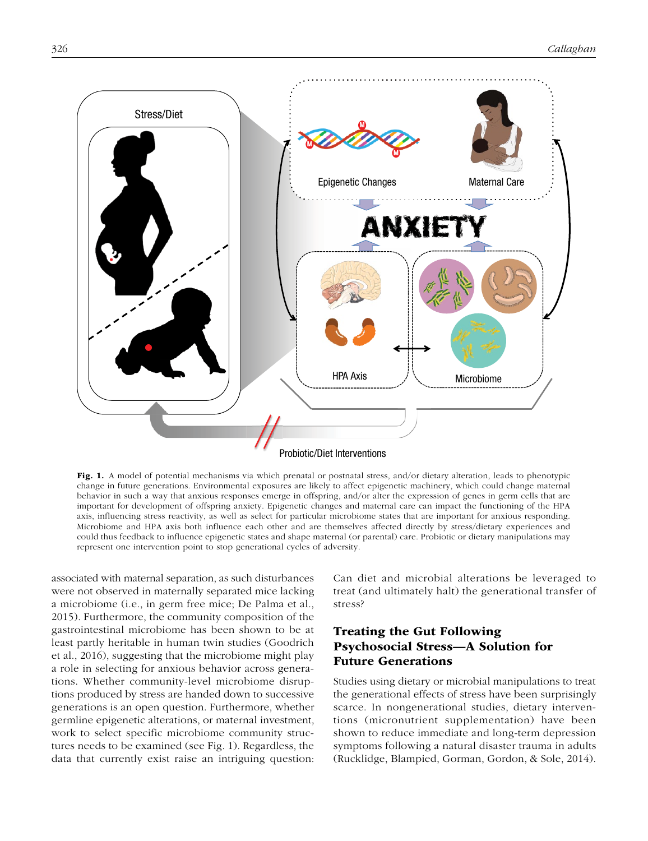

Fig. 1. A model of potential mechanisms via which prenatal or postnatal stress, and/or dietary alteration, leads to phenotypic change in future generations. Environmental exposures are likely to affect epigenetic machinery, which could change maternal behavior in such a way that anxious responses emerge in offspring, and/or alter the expression of genes in germ cells that are important for development of offspring anxiety. Epigenetic changes and maternal care can impact the functioning of the HPA axis, influencing stress reactivity, as well as select for particular microbiome states that are important for anxious responding. Microbiome and HPA axis both influence each other and are themselves affected directly by stress/dietary experiences and could thus feedback to influence epigenetic states and shape maternal (or parental) care. Probiotic or dietary manipulations may represent one intervention point to stop generational cycles of adversity.

associated with maternal separation, as such disturbances were not observed in maternally separated mice lacking a microbiome (i.e., in germ free mice; De Palma et al., 2015). Furthermore, the community composition of the gastrointestinal microbiome has been shown to be at least partly heritable in human twin studies (Goodrich et al., 2016), suggesting that the microbiome might play a role in selecting for anxious behavior across generations. Whether community-level microbiome disruptions produced by stress are handed down to successive generations is an open question. Furthermore, whether germline epigenetic alterations, or maternal investment, work to select specific microbiome community structures needs to be examined (see Fig. 1). Regardless, the data that currently exist raise an intriguing question:

Can diet and microbial alterations be leveraged to treat (and ultimately halt) the generational transfer of stress?

# Treating the Gut Following Psychosocial Stress—A Solution for Future Generations

Studies using dietary or microbial manipulations to treat the generational effects of stress have been surprisingly scarce. In nongenerational studies, dietary interventions (micronutrient supplementation) have been shown to reduce immediate and long-term depression symptoms following a natural disaster trauma in adults (Rucklidge, Blampied, Gorman, Gordon, & Sole, 2014).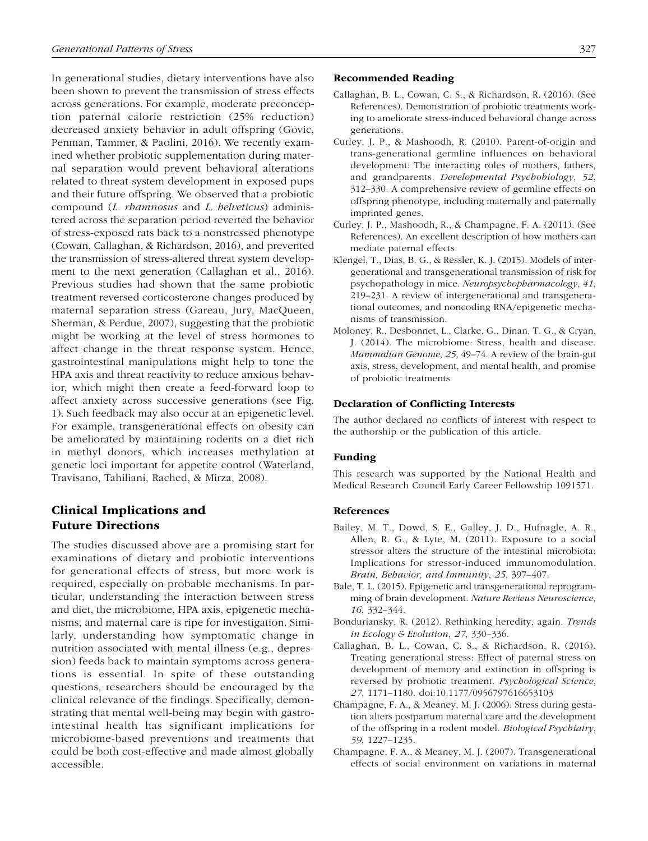In generational studies, dietary interventions have also been shown to prevent the transmission of stress effects across generations. For example, moderate preconception paternal calorie restriction (25% reduction) decreased anxiety behavior in adult offspring (Govic, Penman, Tammer, & Paolini, 2016). We recently examined whether probiotic supplementation during maternal separation would prevent behavioral alterations related to threat system development in exposed pups and their future offspring. We observed that a probiotic compound (*L. rhamnosus* and *L. helveticus*) administered across the separation period reverted the behavior of stress-exposed rats back to a nonstressed phenotype (Cowan, Callaghan, & Richardson, 2016), and prevented the transmission of stress-altered threat system development to the next generation (Callaghan et al., 2016). Previous studies had shown that the same probiotic treatment reversed corticosterone changes produced by maternal separation stress (Gareau, Jury, MacQueen, Sherman, & Perdue, 2007), suggesting that the probiotic might be working at the level of stress hormones to affect change in the threat response system. Hence, gastrointestinal manipulations might help to tone the HPA axis and threat reactivity to reduce anxious behavior, which might then create a feed-forward loop to affect anxiety across successive generations (see Fig. 1). Such feedback may also occur at an epigenetic level. For example, transgenerational effects on obesity can be ameliorated by maintaining rodents on a diet rich in methyl donors, which increases methylation at genetic loci important for appetite control (Waterland, Travisano, Tahiliani, Rached, & Mirza, 2008).

# Clinical Implications and Future Directions

The studies discussed above are a promising start for examinations of dietary and probiotic interventions for generational effects of stress, but more work is required, especially on probable mechanisms. In particular, understanding the interaction between stress and diet, the microbiome, HPA axis, epigenetic mechanisms, and maternal care is ripe for investigation. Similarly, understanding how symptomatic change in nutrition associated with mental illness (e.g., depression) feeds back to maintain symptoms across generations is essential. In spite of these outstanding questions, researchers should be encouraged by the clinical relevance of the findings. Specifically, demonstrating that mental well-being may begin with gastrointestinal health has significant implications for microbiome-based preventions and treatments that could be both cost-effective and made almost globally accessible.

#### Recommended Reading

- Callaghan, B. L., Cowan, C. S., & Richardson, R. (2016). (See References). Demonstration of probiotic treatments working to ameliorate stress-induced behavioral change across generations.
- Curley, J. P., & Mashoodh, R. (2010). Parent-of-origin and trans-generational germline influences on behavioral development: The interacting roles of mothers, fathers, and grandparents. *Developmental Psychobiology*, *52*, 312–330. A comprehensive review of germline effects on offspring phenotype, including maternally and paternally imprinted genes.
- Curley, J. P., Mashoodh, R., & Champagne, F. A. (2011). (See References). An excellent description of how mothers can mediate paternal effects.
- Klengel, T., Dias, B. G., & Ressler, K. J. (2015). Models of intergenerational and transgenerational transmission of risk for psychopathology in mice. *Neuropsychopharmacology*, *41*, 219–231. A review of intergenerational and transgenerational outcomes, and noncoding RNA/epigenetic mechanisms of transmission.
- Moloney, R., Desbonnet, L., Clarke, G., Dinan, T. G., & Cryan, J. (2014). The microbiome: Stress, health and disease. *Mammalian Genome*, *25*, 49–74. A review of the brain-gut axis, stress, development, and mental health, and promise of probiotic treatments

### Declaration of Conflicting Interests

The author declared no conflicts of interest with respect to the authorship or the publication of this article.

### Funding

This research was supported by the National Health and Medical Research Council Early Career Fellowship 1091571.

#### References

- Bailey, M. T., Dowd, S. E., Galley, J. D., Hufnagle, A. R., Allen, R. G., & Lyte, M. (2011). Exposure to a social stressor alters the structure of the intestinal microbiota: Implications for stressor-induced immunomodulation. *Brain, Behavior, and Immunity*, *25*, 397–407.
- Bale, T. L. (2015). Epigenetic and transgenerational reprogramming of brain development. *Nature Reviews Neuroscience*, *16*, 332–344.
- Bonduriansky, R. (2012). Rethinking heredity, again. *Trends in Ecology & Evolution*, *27*, 330–336.
- Callaghan, B. L., Cowan, C. S., & Richardson, R. (2016). Treating generational stress: Effect of paternal stress on development of memory and extinction in offspring is reversed by probiotic treatment. *Psychological Science*, *27*, 1171–1180. doi:10.1177/0956797616653103
- Champagne, F. A., & Meaney, M. J. (2006). Stress during gestation alters postpartum maternal care and the development of the offspring in a rodent model. *Biological Psychiatry*, *59*, 1227–1235.
- Champagne, F. A., & Meaney, M. J. (2007). Transgenerational effects of social environment on variations in maternal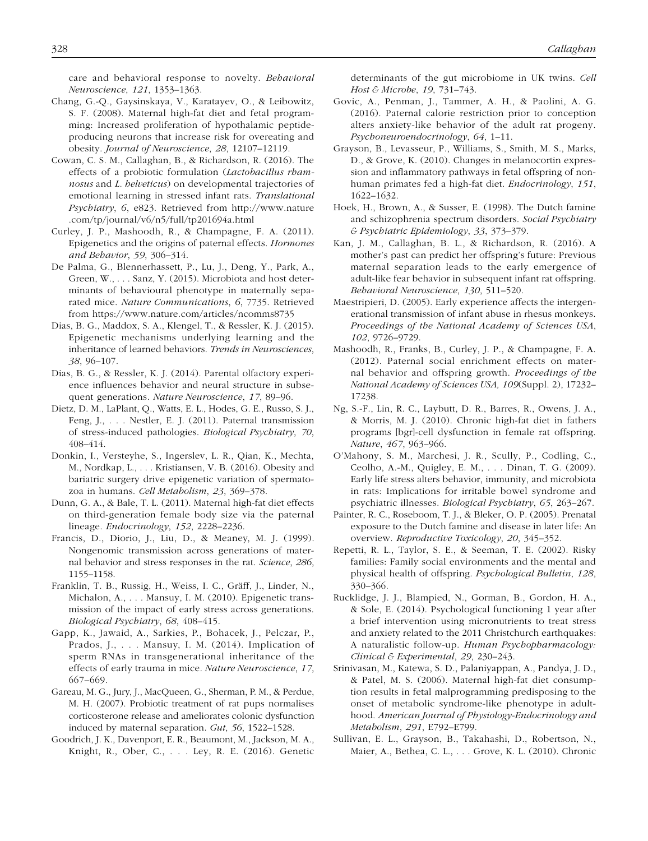care and behavioral response to novelty. *Behavioral Neuroscience*, *121*, 1353–1363.

- Chang, G.-Q., Gaysinskaya, V., Karatayev, O., & Leibowitz, S. F. (2008). Maternal high-fat diet and fetal programming: Increased proliferation of hypothalamic peptideproducing neurons that increase risk for overeating and obesity. *Journal of Neuroscience*, *28*, 12107–12119.
- Cowan, C. S. M., Callaghan, B., & Richardson, R. (2016). The effects of a probiotic formulation (*Lactobacillus rhamnosus* and *L. helveticus*) on developmental trajectories of emotional learning in stressed infant rats. *Translational Psychiatry*, *6*[, e823. Retrieved from h](http://www.nature.com/tp/journal/v6/n5/full/tp201694a.html)[ttp://www.nature](http://www.nature) .com/tp/journal/v6/n5/full/tp201694a.html
- Curley, J. P., Mashoodh, R., & Champagne, F. A. (2011). Epigenetics and the origins of paternal effects. *Hormones and Behavior*, *59*, 306–314.
- De Palma, G., Blennerhassett, P., Lu, J., Deng, Y., Park, A., Green, W., . . . Sanz, Y. (2015). Microbiota and host determinants of behavioural phenotype in maternally separated mice. *Nature Communications*, *6*, 7735. Retrieved from <https://www.nature.com/articles/ncomms8735>
- Dias, B. G., Maddox, S. A., Klengel, T., & Ressler, K. J. (2015). Epigenetic mechanisms underlying learning and the inheritance of learned behaviors. *Trends in Neurosciences*, *38*, 96–107.
- Dias, B. G., & Ressler, K. J. (2014). Parental olfactory experience influences behavior and neural structure in subsequent generations. *Nature Neuroscience*, *17*, 89–96.
- Dietz, D. M., LaPlant, Q., Watts, E. L., Hodes, G. E., Russo, S. J., Feng, J., . . . Nestler, E. J. (2011). Paternal transmission of stress-induced pathologies. *Biological Psychiatry*, *70*, 408–414.
- Donkin, I., Versteyhe, S., Ingerslev, L. R., Qian, K., Mechta, M., Nordkap, L., . . . Kristiansen, V. B. (2016). Obesity and bariatric surgery drive epigenetic variation of spermatozoa in humans. *Cell Metabolism*, *23*, 369–378.
- Dunn, G. A., & Bale, T. L. (2011). Maternal high-fat diet effects on third-generation female body size via the paternal lineage. *Endocrinology*, *152*, 2228–2236.
- Francis, D., Diorio, J., Liu, D., & Meaney, M. J. (1999). Nongenomic transmission across generations of maternal behavior and stress responses in the rat. *Science*, *286*, 1155–1158.
- Franklin, T. B., Russig, H., Weiss, I. C., Gräff, J., Linder, N., Michalon, A., . . . Mansuy, I. M. (2010). Epigenetic transmission of the impact of early stress across generations. *Biological Psychiatry*, *68*, 408–415.
- Gapp, K., Jawaid, A., Sarkies, P., Bohacek, J., Pelczar, P., Prados, J., . . . Mansuy, I. M. (2014). Implication of sperm RNAs in transgenerational inheritance of the effects of early trauma in mice. *Nature Neuroscience*, *17*, 667–669.
- Gareau, M. G., Jury, J., MacQueen, G., Sherman, P. M., & Perdue, M. H. (2007). Probiotic treatment of rat pups normalises corticosterone release and ameliorates colonic dysfunction induced by maternal separation. *Gut*, *56*, 1522–1528.
- Goodrich, J. K., Davenport, E. R., Beaumont, M., Jackson, M. A., Knight, R., Ober, C., . . . Ley, R. E. (2016). Genetic

determinants of the gut microbiome in UK twins. *Cell Host & Microbe*, *19*, 731–743.

- Govic, A., Penman, J., Tammer, A. H., & Paolini, A. G. (2016). Paternal calorie restriction prior to conception alters anxiety-like behavior of the adult rat progeny. *Psychoneuroendocrinology*, *64*, 1–11.
- Grayson, B., Levasseur, P., Williams, S., Smith, M. S., Marks, D., & Grove, K. (2010). Changes in melanocortin expression and inflammatory pathways in fetal offspring of nonhuman primates fed a high-fat diet. *Endocrinology*, *151*, 1622–1632.
- Hoek, H., Brown, A., & Susser, E. (1998). The Dutch famine and schizophrenia spectrum disorders. *Social Psychiatry & Psychiatric Epidemiology*, *33*, 373–379.
- Kan, J. M., Callaghan, B. L., & Richardson, R. (2016). A mother's past can predict her offspring's future: Previous maternal separation leads to the early emergence of adult-like fear behavior in subsequent infant rat offspring. *Behavioral Neuroscience*, *130*, 511–520.
- Maestripieri, D. (2005). Early experience affects the intergenerational transmission of infant abuse in rhesus monkeys. *Proceedings of the National Academy of Sciences USA*, *102*, 9726–9729.
- Mashoodh, R., Franks, B., Curley, J. P., & Champagne, F. A. (2012). Paternal social enrichment effects on maternal behavior and offspring growth. *Proceedings of the National Academy of Sciences USA, 109*(Suppl. 2), 17232– 17238.
- Ng, S.-F., Lin, R. C., Laybutt, D. R., Barres, R., Owens, J. A., & Morris, M. J. (2010). Chronic high-fat diet in fathers programs [bgr]-cell dysfunction in female rat offspring. *Nature*, *467*, 963–966.
- O'Mahony, S. M., Marchesi, J. R., Scully, P., Codling, C., Ceolho, A.-M., Quigley, E. M., . . . Dinan, T. G. (2009). Early life stress alters behavior, immunity, and microbiota in rats: Implications for irritable bowel syndrome and psychiatric illnesses. *Biological Psychiatry*, *65*, 263–267.
- Painter, R. C., Roseboom, T. J., & Bleker, O. P. (2005). Prenatal exposure to the Dutch famine and disease in later life: An overview. *Reproductive Toxicology*, *20*, 345–352.
- Repetti, R. L., Taylor, S. E., & Seeman, T. E. (2002). Risky families: Family social environments and the mental and physical health of offspring. *Psychological Bulletin*, *128*, 330–366.
- Rucklidge, J. J., Blampied, N., Gorman, B., Gordon, H. A., & Sole, E. (2014). Psychological functioning 1 year after a brief intervention using micronutrients to treat stress and anxiety related to the 2011 Christchurch earthquakes: A naturalistic follow-up. *Human Psychopharmacology: Clinical & Experimental*, *29*, 230–243.
- Srinivasan, M., Katewa, S. D., Palaniyappan, A., Pandya, J. D., & Patel, M. S. (2006). Maternal high-fat diet consumption results in fetal malprogramming predisposing to the onset of metabolic syndrome-like phenotype in adulthood. *American Journal of Physiology-Endocrinology and Metabolism*, *291*, E792–E799.
- Sullivan, E. L., Grayson, B., Takahashi, D., Robertson, N., Maier, A., Bethea, C. L., . . . Grove, K. L. (2010). Chronic